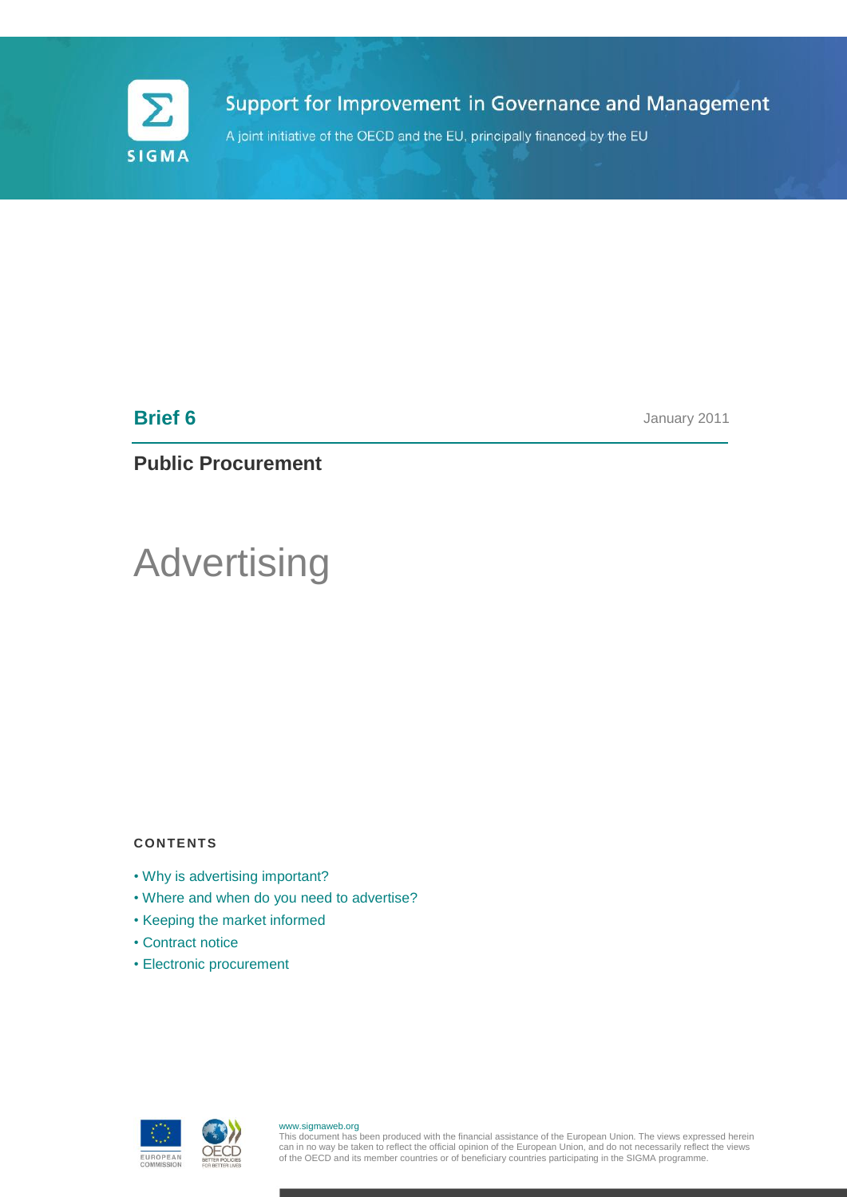

# Support for Improvement in Governance and Management

A joint initiative of the OECD and the EU, principally financed by the EU

## **Brief 6**

January 2011

## **Public Procurement**

# **Advertising**

#### **CONTENTS**

- Why is advertising important?
- Where and when do you need to advertise?
- Keeping the market informed
- Contract notice
- Electronic procurement



#### www.sigmaweb.org

This document has been produced with the financial assistance of the European Union. The views expressed herein<br>can in no way be taken to reflect the official opinion of the European Union, and do not necessarily reflect t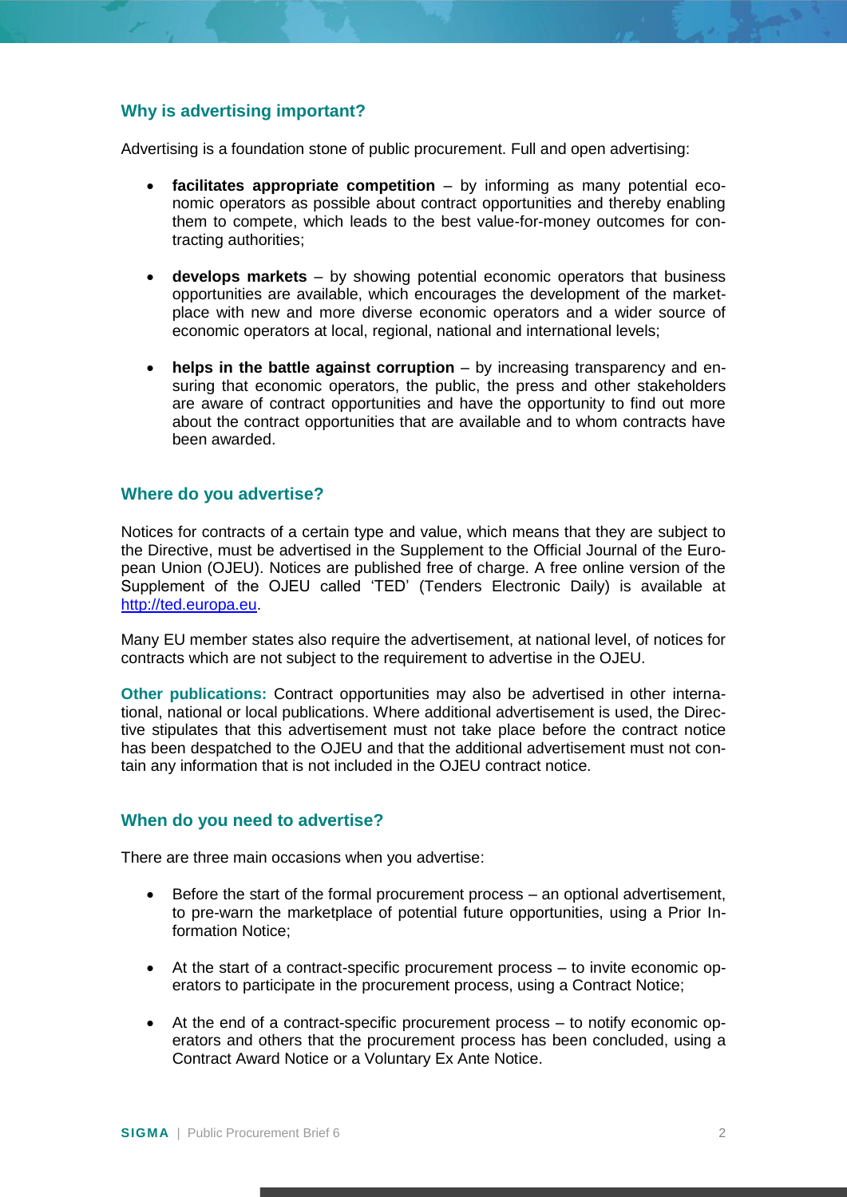## **Why is advertising important?**

Advertising is a foundation stone of public procurement. Full and open advertising:

- **facilitates appropriate competition** by informing as many potential economic operators as possible about contract opportunities and thereby enabling them to compete, which leads to the best value-for-money outcomes for contracting authorities;
- **develops markets** by showing potential economic operators that business opportunities are available, which encourages the development of the marketplace with new and more diverse economic operators and a wider source of economic operators at local, regional, national and international levels;
- **helps in the battle against corruption** by increasing transparency and ensuring that economic operators, the public, the press and other stakeholders are aware of contract opportunities and have the opportunity to find out more about the contract opportunities that are available and to whom contracts have been awarded.

#### **Where do you advertise?**

Notices for contracts of a certain type and value, which means that they are subject to the Directive, must be advertised in the Supplement to the Official Journal of the European Union (OJEU). Notices are published free of charge. A free online version of the Supplement of the OJEU called 'TED' (Tenders Electronic Daily) is available at [http://ted.europa.eu.](http://ted.europa.eu/)

Many EU member states also require the advertisement, at national level, of notices for contracts which are not subject to the requirement to advertise in the OJEU.

**Other publications:** Contract opportunities may also be advertised in other international, national or local publications. Where additional advertisement is used, the Directive stipulates that this advertisement must not take place before the contract notice has been despatched to the OJEU and that the additional advertisement must not contain any information that is not included in the OJEU contract notice.

#### **When do you need to advertise?**

There are three main occasions when you advertise:

- Before the start of the formal procurement process an optional advertisement, to pre-warn the marketplace of potential future opportunities, using a Prior Information Notice:
- At the start of a contract-specific procurement process to invite economic operators to participate in the procurement process, using a Contract Notice;
- At the end of a contract-specific procurement process to notify economic operators and others that the procurement process has been concluded, using a Contract Award Notice or a Voluntary Ex Ante Notice.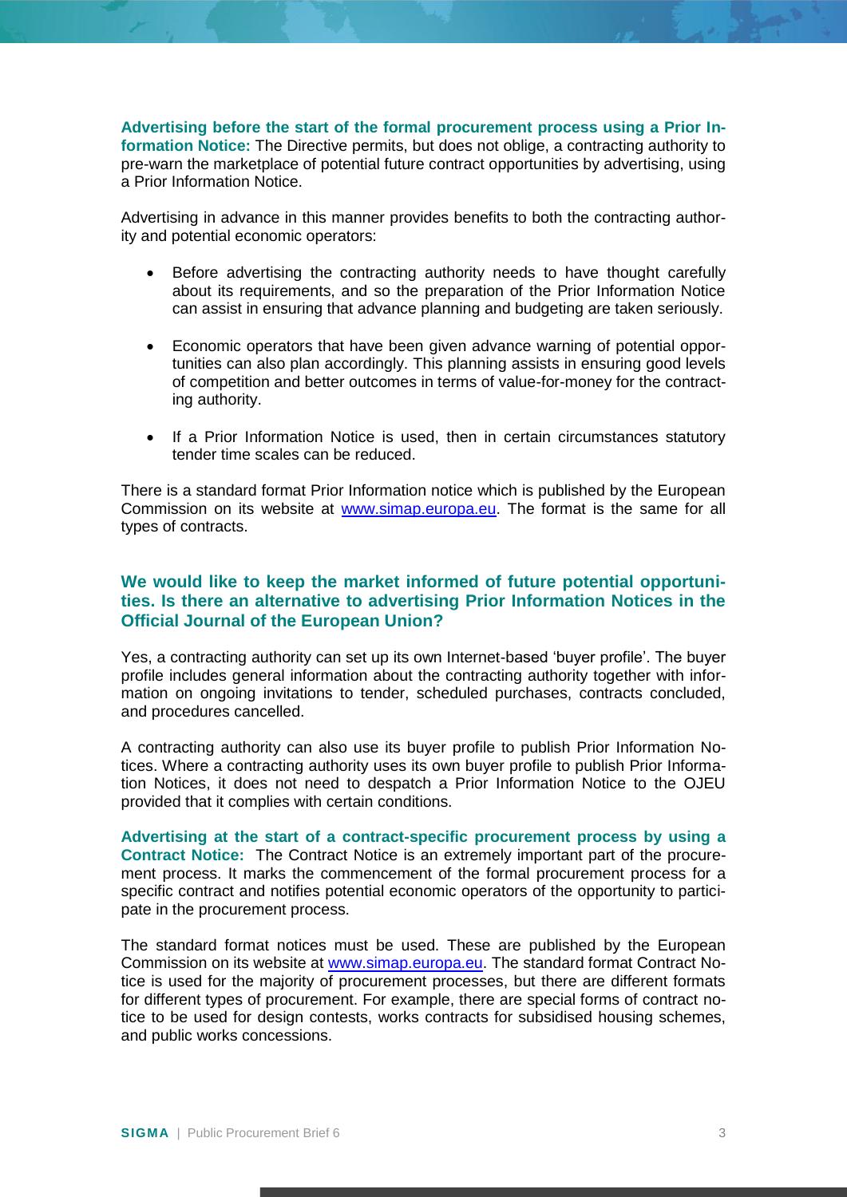**Advertising before the start of the formal procurement process using a Prior Information Notice:** The Directive permits, but does not oblige, a contracting authority to pre-warn the marketplace of potential future contract opportunities by advertising, using a Prior Information Notice.

Advertising in advance in this manner provides benefits to both the contracting authority and potential economic operators:

- Before advertising the contracting authority needs to have thought carefully about its requirements, and so the preparation of the Prior Information Notice can assist in ensuring that advance planning and budgeting are taken seriously.
- Economic operators that have been given advance warning of potential opportunities can also plan accordingly. This planning assists in ensuring good levels of competition and better outcomes in terms of value-for-money for the contracting authority.
- If a Prior Information Notice is used, then in certain circumstances statutory tender time scales can be reduced.

There is a standard format Prior Information notice which is published by the European Commission on its website at [www.simap.europa.eu.](http://www.simap.europa.eu/) The format is the same for all types of contracts.

### **We would like to keep the market informed of future potential opportunities. Is there an alternative to advertising Prior Information Notices in the Official Journal of the European Union?**

Yes, a contracting authority can set up its own Internet-based 'buyer profile'. The buyer profile includes general information about the contracting authority together with information on ongoing invitations to tender, scheduled purchases, contracts concluded, and procedures cancelled.

A contracting authority can also use its buyer profile to publish Prior Information Notices. Where a contracting authority uses its own buyer profile to publish Prior Information Notices, it does not need to despatch a Prior Information Notice to the OJEU provided that it complies with certain conditions.

**Advertising at the start of a contract-specific procurement process by using a Contract Notice:** The Contract Notice is an extremely important part of the procurement process. It marks the commencement of the formal procurement process for a specific contract and notifies potential economic operators of the opportunity to participate in the procurement process.

The standard format notices must be used. These are published by the European Commission on its website at [www.simap.europa.eu.](http://www.simap.europa.eu/) The standard format Contract Notice is used for the majority of procurement processes, but there are different formats for different types of procurement. For example, there are special forms of contract notice to be used for design contests, works contracts for subsidised housing schemes, and public works concessions.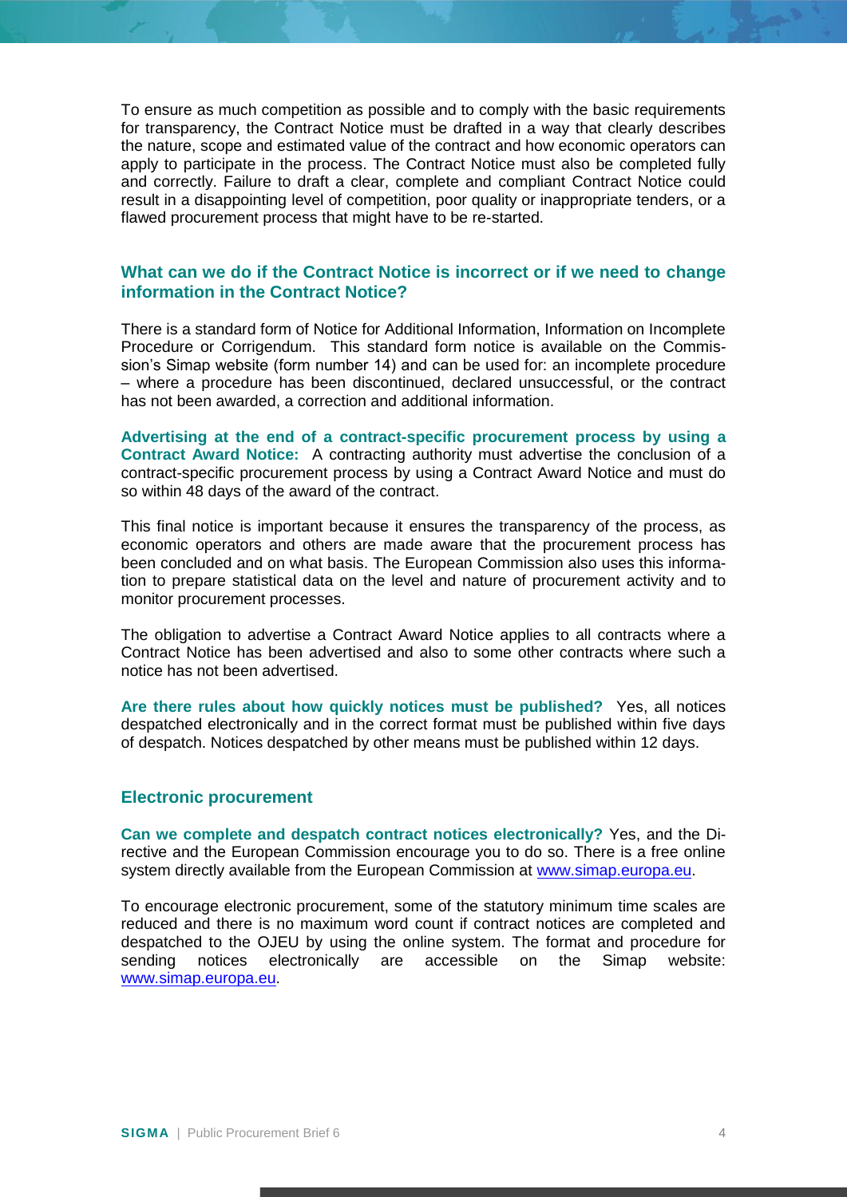To ensure as much competition as possible and to comply with the basic requirements for transparency, the Contract Notice must be drafted in a way that clearly describes the nature, scope and estimated value of the contract and how economic operators can apply to participate in the process. The Contract Notice must also be completed fully and correctly. Failure to draft a clear, complete and compliant Contract Notice could result in a disappointing level of competition, poor quality or inappropriate tenders, or a flawed procurement process that might have to be re-started.

#### **What can we do if the Contract Notice is incorrect or if we need to change information in the Contract Notice?**

There is a standard form of Notice for Additional Information, Information on Incomplete Procedure or Corrigendum. This standard form notice is available on the Commission's Simap website (form number 14) and can be used for: an incomplete procedure – where a procedure has been discontinued, declared unsuccessful, or the contract has not been awarded, a correction and additional information.

**Advertising at the end of a contract-specific procurement process by using a Contract Award Notice:** A contracting authority must advertise the conclusion of a contract-specific procurement process by using a Contract Award Notice and must do so within 48 days of the award of the contract.

This final notice is important because it ensures the transparency of the process, as economic operators and others are made aware that the procurement process has been concluded and on what basis. The European Commission also uses this information to prepare statistical data on the level and nature of procurement activity and to monitor procurement processes.

The obligation to advertise a Contract Award Notice applies to all contracts where a Contract Notice has been advertised and also to some other contracts where such a notice has not been advertised.

**Are there rules about how quickly notices must be published?** Yes, all notices despatched electronically and in the correct format must be published within five days of despatch. Notices despatched by other means must be published within 12 days.

#### **Electronic procurement**

**Can we complete and despatch contract notices electronically?** Yes, and the Directive and the European Commission encourage you to do so. There is a free online system directly available from the European Commission at [www.simap.europa.eu.](http://www.simap.europa.eu/)

To encourage electronic procurement, some of the statutory minimum time scales are reduced and there is no maximum word count if contract notices are completed and despatched to the OJEU by using the online system. The format and procedure for sending notices electronically are accessible on the Simap website: [www.simap.europa.eu.](http://www.simap.europa.eu/)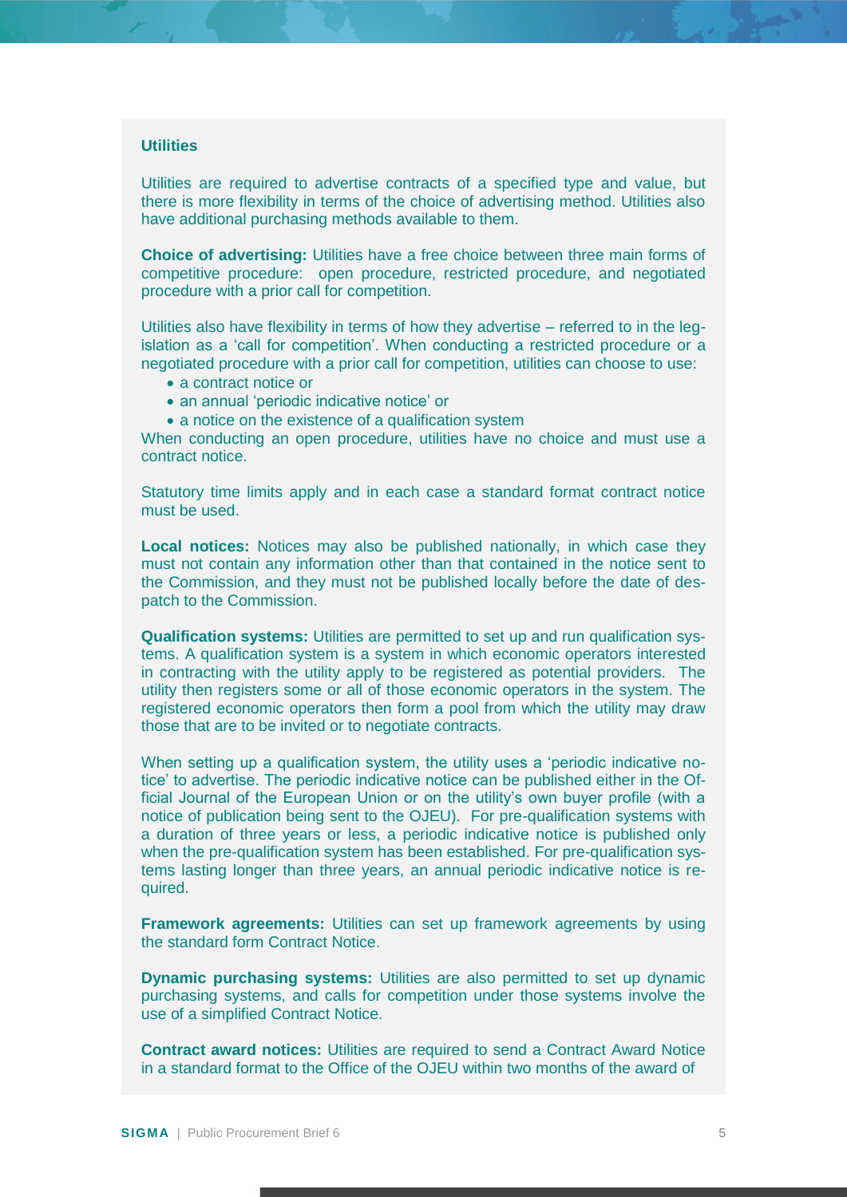#### **Utilities**

Utilities are required to advertise contracts of a specified type and value, but there is more flexibility in terms of the choice of advertising method. Utilities also have additional purchasing methods available to them.

**Choice of advertising:** Utilities have a free choice between three main forms of competitive procedure: open procedure, restricted procedure, and negotiated procedure with a prior call for competition.

Utilities also have flexibility in terms of how they advertise – referred to in the legislation as a 'call for competition'. When conducting a restricted procedure or a negotiated procedure with a prior call for competition, utilities can choose to use:

- a contract notice or
- an annual 'periodic indicative notice' or
- a notice on the existence of a qualification system

When conducting an open procedure, utilities have no choice and must use a contract notice.

Statutory time limits apply and in each case a standard format contract notice must be used.

**Local notices:** Notices may also be published nationally, in which case they must not contain any information other than that contained in the notice sent to the Commission, and they must not be published locally before the date of despatch to the Commission.

**Qualification systems:** Utilities are permitted to set up and run qualification systems. A qualification system is a system in which economic operators interested in contracting with the utility apply to be registered as potential providers. The utility then registers some or all of those economic operators in the system. The registered economic operators then form a pool from which the utility may draw those that are to be invited or to negotiate contracts.

When setting up a qualification system, the utility uses a 'periodic indicative notice' to advertise. The periodic indicative notice can be published either in the Official Journal of the European Union or on the utility's own buyer profile (with a notice of publication being sent to the OJEU). For pre-qualification systems with a duration of three years or less, a periodic indicative notice is published only when the pre-qualification system has been established. For pre-qualification systems lasting longer than three years, an annual periodic indicative notice is required.

**Framework agreements:** Utilities can set up framework agreements by using the standard form Contract Notice.

**Dynamic purchasing systems:** Utilities are also permitted to set up dynamic purchasing systems, and calls for competition under those systems involve the use of a simplified Contract Notice.

**Contract award notices:** Utilities are required to send a Contract Award Notice in a standard format to the Office of the OJEU within two months of the award of